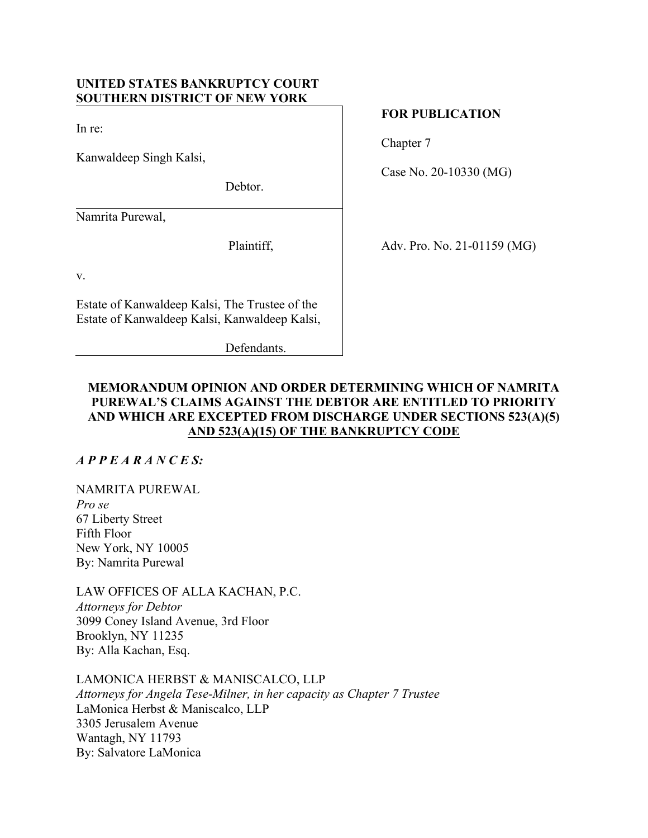# **UNITED STATES BANKRUPTCY COURT SOUTHERN DISTRICT OF NEW YORK**

In re:

Kanwaldeep Singh Kalsi,

Debtor.

Namrita Purewal,

Plaintiff,

v.

Estate of Kanwaldeep Kalsi, The Trustee of the Estate of Kanwaldeep Kalsi, Kanwaldeep Kalsi,

Defendants.

# **FOR PUBLICATION**

Chapter 7

Case No. 20-10330 (MG)

Adv. Pro. No. 21-01159 (MG)

# **MEMORANDUM OPINION AND ORDER DETERMINING WHICH OF NAMRITA PUREWAL'S CLAIMS AGAINST THE DEBTOR ARE ENTITLED TO PRIORITY AND WHICH ARE EXCEPTED FROM DISCHARGE UNDER SECTIONS 523(A)(5) AND 523(A)(15) OF THE BANKRUPTCY CODE**

*A P P E A R A N C E S:* 

NAMRITA PUREWAL *Pro se*  67 Liberty Street Fifth Floor New York, NY 10005 By: Namrita Purewal

LAW OFFICES OF ALLA KACHAN, P.C. *Attorneys for Debtor*  3099 Coney Island Avenue, 3rd Floor Brooklyn, NY 11235 By: Alla Kachan, Esq.

LAMONICA HERBST & MANISCALCO, LLP *Attorneys for Angela Tese-Milner, in her capacity as Chapter 7 Trustee*  LaMonica Herbst & Maniscalco, LLP 3305 Jerusalem Avenue Wantagh, NY 11793 By: Salvatore LaMonica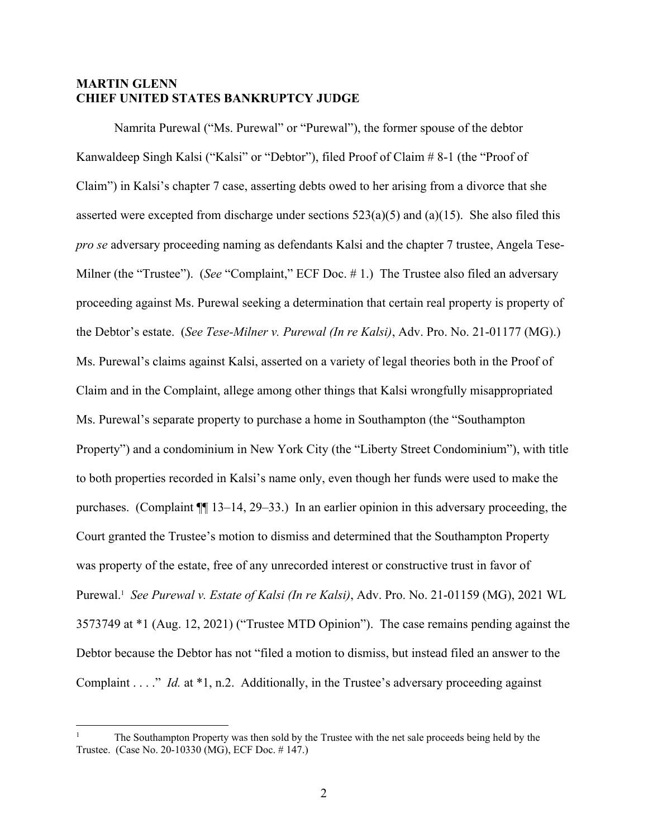## **MARTIN GLENN CHIEF UNITED STATES BANKRUPTCY JUDGE**

Namrita Purewal ("Ms. Purewal" or "Purewal"), the former spouse of the debtor Kanwaldeep Singh Kalsi ("Kalsi" or "Debtor"), filed Proof of Claim # 8-1 (the "Proof of Claim") in Kalsi's chapter 7 case, asserting debts owed to her arising from a divorce that she asserted were excepted from discharge under sections  $523(a)(5)$  and  $(a)(15)$ . She also filed this *pro se* adversary proceeding naming as defendants Kalsi and the chapter 7 trustee, Angela Tese-Milner (the "Trustee"). (*See* "Complaint," ECF Doc. #1.) The Trustee also filed an adversary proceeding against Ms. Purewal seeking a determination that certain real property is property of the Debtor's estate. (*See Tese-Milner v. Purewal (In re Kalsi)*, Adv. Pro. No. 21-01177 (MG).) Ms. Purewal's claims against Kalsi, asserted on a variety of legal theories both in the Proof of Claim and in the Complaint, allege among other things that Kalsi wrongfully misappropriated Ms. Purewal's separate property to purchase a home in Southampton (the "Southampton Property") and a condominium in New York City (the "Liberty Street Condominium"), with title to both properties recorded in Kalsi's name only, even though her funds were used to make the purchases. (Complaint ¶¶ 13–14, 29–33.) In an earlier opinion in this adversary proceeding, the Court granted the Trustee's motion to dismiss and determined that the Southampton Property was property of the estate, free of any unrecorded interest or constructive trust in favor of Purewal.1 *See Purewal v. Estate of Kalsi (In re Kalsi)*, Adv. Pro. No. 21-01159 (MG), 2021 WL 3573749 at \*1 (Aug. 12, 2021) ("Trustee MTD Opinion"). The case remains pending against the Debtor because the Debtor has not "filed a motion to dismiss, but instead filed an answer to the Complaint . . . ." *Id.* at \*1, n.2. Additionally, in the Trustee's adversary proceeding against

<sup>1</sup> The Southampton Property was then sold by the Trustee with the net sale proceeds being held by the Trustee. (Case No. 20-10330 (MG), ECF Doc. # 147.)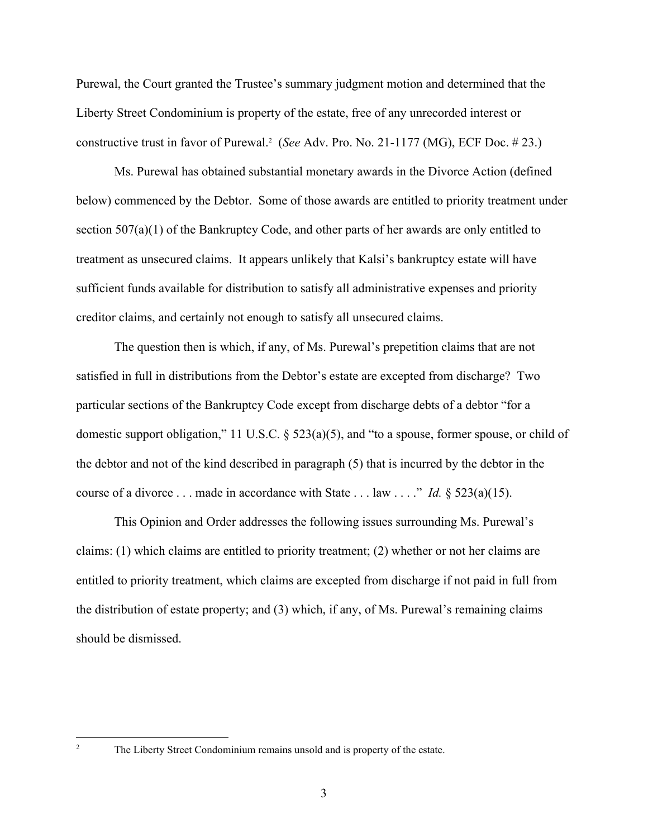Purewal, the Court granted the Trustee's summary judgment motion and determined that the Liberty Street Condominium is property of the estate, free of any unrecorded interest or constructive trust in favor of Purewal.2 (*See* Adv. Pro. No. 21-1177 (MG), ECF Doc. # 23.)

Ms. Purewal has obtained substantial monetary awards in the Divorce Action (defined below) commenced by the Debtor. Some of those awards are entitled to priority treatment under section 507(a)(1) of the Bankruptcy Code, and other parts of her awards are only entitled to treatment as unsecured claims. It appears unlikely that Kalsi's bankruptcy estate will have sufficient funds available for distribution to satisfy all administrative expenses and priority creditor claims, and certainly not enough to satisfy all unsecured claims.

The question then is which, if any, of Ms. Purewal's prepetition claims that are not satisfied in full in distributions from the Debtor's estate are excepted from discharge? Two particular sections of the Bankruptcy Code except from discharge debts of a debtor "for a domestic support obligation," 11 U.S.C. § 523(a)(5), and "to a spouse, former spouse, or child of the debtor and not of the kind described in paragraph (5) that is incurred by the debtor in the course of a divorce . . . made in accordance with State . . . law . . . ." *Id.* § 523(a)(15).

This Opinion and Order addresses the following issues surrounding Ms. Purewal's claims: (1) which claims are entitled to priority treatment; (2) whether or not her claims are entitled to priority treatment, which claims are excepted from discharge if not paid in full from the distribution of estate property; and (3) which, if any, of Ms. Purewal's remaining claims should be dismissed.

The Liberty Street Condominium remains unsold and is property of the estate.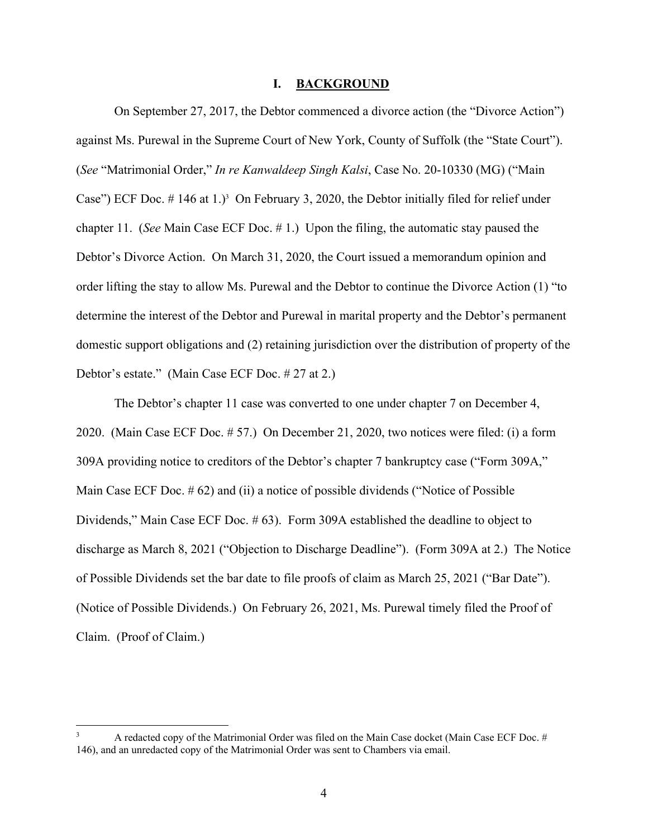#### **I. BACKGROUND**

On September 27, 2017, the Debtor commenced a divorce action (the "Divorce Action") against Ms. Purewal in the Supreme Court of New York, County of Suffolk (the "State Court"). (*See* "Matrimonial Order," *In re Kanwaldeep Singh Kalsi*, Case No. 20-10330 (MG) ("Main Case") ECF Doc.  $\#$  146 at 1.)<sup>3</sup> On February 3, 2020, the Debtor initially filed for relief under chapter 11. (*See* Main Case ECF Doc. # 1.)Upon the filing, the automatic stay paused the Debtor's Divorce Action. On March 31, 2020, the Court issued a memorandum opinion and order lifting the stay to allow Ms. Purewal and the Debtor to continue the Divorce Action (1) "to determine the interest of the Debtor and Purewal in marital property and the Debtor's permanent domestic support obligations and (2) retaining jurisdiction over the distribution of property of the Debtor's estate." (Main Case ECF Doc. # 27 at 2.)

The Debtor's chapter 11 case was converted to one under chapter 7 on December 4, 2020. (Main Case ECF Doc. # 57.) On December 21, 2020, two notices were filed: (i) a form 309A providing notice to creditors of the Debtor's chapter 7 bankruptcy case ("Form 309A," Main Case ECF Doc. # 62) and (ii) a notice of possible dividends ("Notice of Possible Dividends," Main Case ECF Doc. # 63). Form 309A established the deadline to object to discharge as March 8, 2021 ("Objection to Discharge Deadline"). (Form 309A at 2.) The Notice of Possible Dividends set the bar date to file proofs of claim as March 25, 2021 ("Bar Date"). (Notice of Possible Dividends.) On February 26, 2021, Ms. Purewal timely filed the Proof of Claim. (Proof of Claim.)

<sup>3</sup> A redacted copy of the Matrimonial Order was filed on the Main Case docket (Main Case ECF Doc. # 146), and an unredacted copy of the Matrimonial Order was sent to Chambers via email.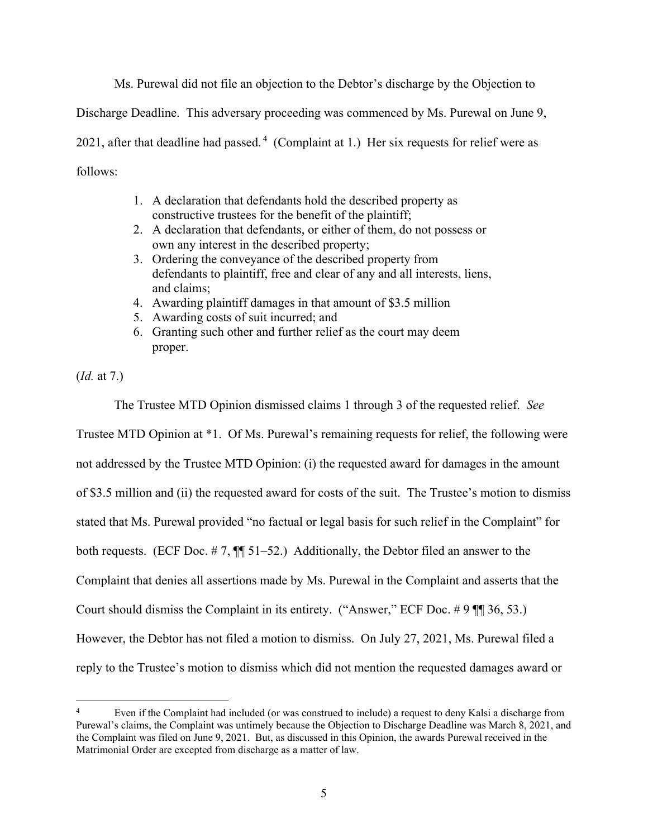Ms. Purewal did not file an objection to the Debtor's discharge by the Objection to

Discharge Deadline. This adversary proceeding was commenced by Ms. Purewal on June 9,

2021, after that deadline had passed.<sup>4</sup> (Complaint at 1.) Her six requests for relief were as follows:

- 1. A declaration that defendants hold the described property as constructive trustees for the benefit of the plaintiff;
- 2. A declaration that defendants, or either of them, do not possess or own any interest in the described property;
- 3. Ordering the conveyance of the described property from defendants to plaintiff, free and clear of any and all interests, liens, and claims;
- 4. Awarding plaintiff damages in that amount of \$3.5 million
- 5. Awarding costs of suit incurred; and
- 6. Granting such other and further relief as the court may deem proper.

(*Id.* at 7.)

The Trustee MTD Opinion dismissed claims 1 through 3 of the requested relief. *See* Trustee MTD Opinion at \*1. Of Ms. Purewal's remaining requests for relief, the following were not addressed by the Trustee MTD Opinion: (i) the requested award for damages in the amount of \$3.5 million and (ii) the requested award for costs of the suit. The Trustee's motion to dismiss stated that Ms. Purewal provided "no factual or legal basis for such relief in the Complaint" for both requests. (ECF Doc. #7,  $\P$  51–52.) Additionally, the Debtor filed an answer to the Complaint that denies all assertions made by Ms. Purewal in the Complaint and asserts that the Court should dismiss the Complaint in its entirety. ("Answer," ECF Doc. # 9 ¶¶ 36, 53.) However, the Debtor has not filed a motion to dismiss. On July 27, 2021, Ms. Purewal filed a reply to the Trustee's motion to dismiss which did not mention the requested damages award or

<sup>4</sup> Even if the Complaint had included (or was construed to include) a request to deny Kalsi a discharge from Purewal's claims, the Complaint was untimely because the Objection to Discharge Deadline was March 8, 2021, and the Complaint was filed on June 9, 2021. But, as discussed in this Opinion, the awards Purewal received in the Matrimonial Order are excepted from discharge as a matter of law.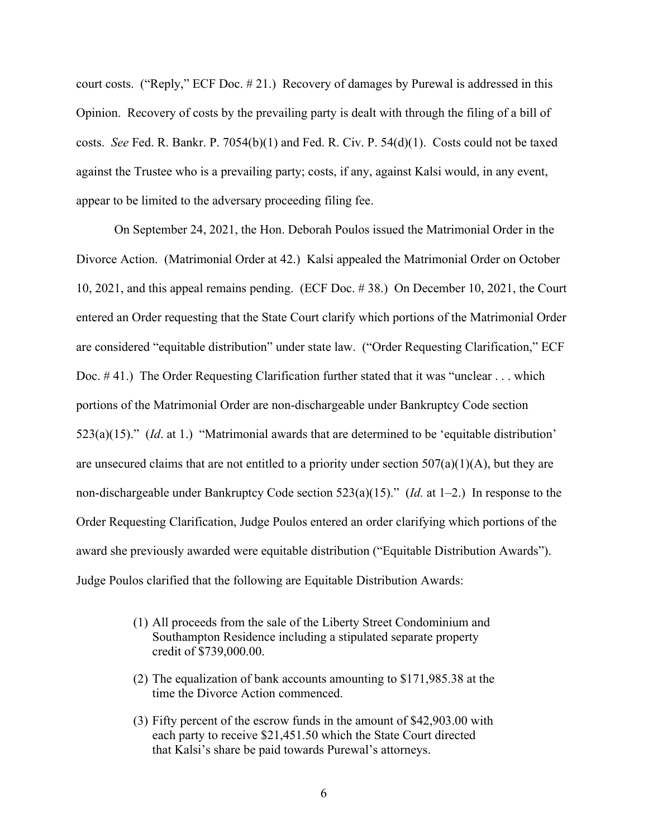court costs. ("Reply," ECF Doc. # 21.) Recovery of damages by Purewal is addressed in this Opinion. Recovery of costs by the prevailing party is dealt with through the filing of a bill of costs. *See* Fed. R. Bankr. P. 7054(b)(1) and Fed. R. Civ. P. 54(d)(1). Costs could not be taxed against the Trustee who is a prevailing party; costs, if any, against Kalsi would, in any event, appear to be limited to the adversary proceeding filing fee.

On September 24, 2021, the Hon. Deborah Poulos issued the Matrimonial Order in the Divorce Action. (Matrimonial Order at 42.) Kalsi appealed the Matrimonial Order on October 10, 2021, and this appeal remains pending. (ECF Doc. # 38.) On December 10, 2021, the Court entered an Order requesting that the State Court clarify which portions of the Matrimonial Order are considered "equitable distribution" under state law. ("Order Requesting Clarification," ECF Doc. # 41.) The Order Requesting Clarification further stated that it was "unclear . . . which portions of the Matrimonial Order are non-dischargeable under Bankruptcy Code section 523(a)(15)." (*Id*. at 1.) "Matrimonial awards that are determined to be 'equitable distribution' are unsecured claims that are not entitled to a priority under section  $507(a)(1)(A)$ , but they are non-dischargeable under Bankruptcy Code section 523(a)(15)." (*Id.* at 1–2.) In response to the Order Requesting Clarification, Judge Poulos entered an order clarifying which portions of the award she previously awarded were equitable distribution ("Equitable Distribution Awards"). Judge Poulos clarified that the following are Equitable Distribution Awards:

- (1) All proceeds from the sale of the Liberty Street Condominium and Southampton Residence including a stipulated separate property credit of \$739,000.00.
- (2) The equalization of bank accounts amounting to \$171,985.38 at the time the Divorce Action commenced.
- (3) Fifty percent of the escrow funds in the amount of \$42,903.00 with each party to receive \$21,451.50 which the State Court directed that Kalsi's share be paid towards Purewal's attorneys.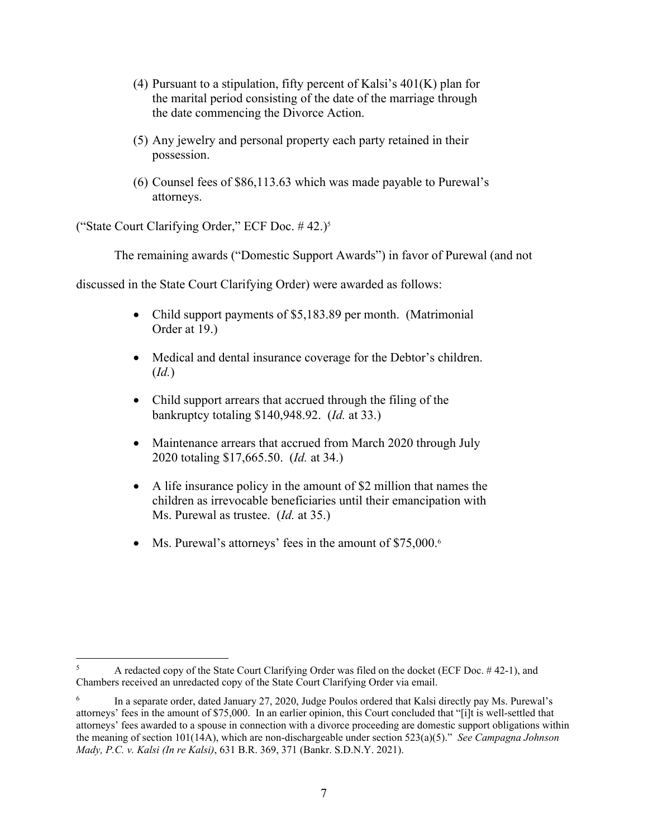- (4) Pursuant to a stipulation, fifty percent of Kalsi's  $401(K)$  plan for the marital period consisting of the date of the marriage through the date commencing the Divorce Action.
- (5) Any jewelry and personal property each party retained in their possession.
- (6) Counsel fees of \$86,113.63 which was made payable to Purewal's attorneys.

("State Court Clarifying Order," ECF Doc. # 42.)5

The remaining awards ("Domestic Support Awards") in favor of Purewal (and not

discussed in the State Court Clarifying Order) were awarded as follows:

- Child support payments of \$5,183.89 per month. (Matrimonial Order at 19.)
- Medical and dental insurance coverage for the Debtor's children. (*Id.*)
- Child support arrears that accrued through the filing of the bankruptcy totaling \$140,948.92. (*Id.* at 33.)
- Maintenance arrears that accrued from March 2020 through July 2020 totaling \$17,665.50. (*Id.* at 34.)
- A life insurance policy in the amount of \$2 million that names the children as irrevocable beneficiaries until their emancipation with Ms. Purewal as trustee. (*Id.* at 35.)
- Ms. Purewal's attorneys' fees in the amount of \$75,000.<sup>6</sup>

<sup>5</sup> A redacted copy of the State Court Clarifying Order was filed on the docket (ECF Doc. # 42-1), and Chambers received an unredacted copy of the State Court Clarifying Order via email.

<sup>6</sup> In a separate order, dated January 27, 2020, Judge Poulos ordered that Kalsi directly pay Ms. Purewal's attorneys' fees in the amount of \$75,000. In an earlier opinion, this Court concluded that "[i]t is well-settled that attorneys' fees awarded to a spouse in connection with a divorce proceeding are domestic support obligations within the meaning of section 101(14A), which are non-dischargeable under section 523(a)(5)." *See Campagna Johnson Mady, P.C. v. Kalsi (In re Kalsi)*, 631 B.R. 369, 371 (Bankr. S.D.N.Y. 2021).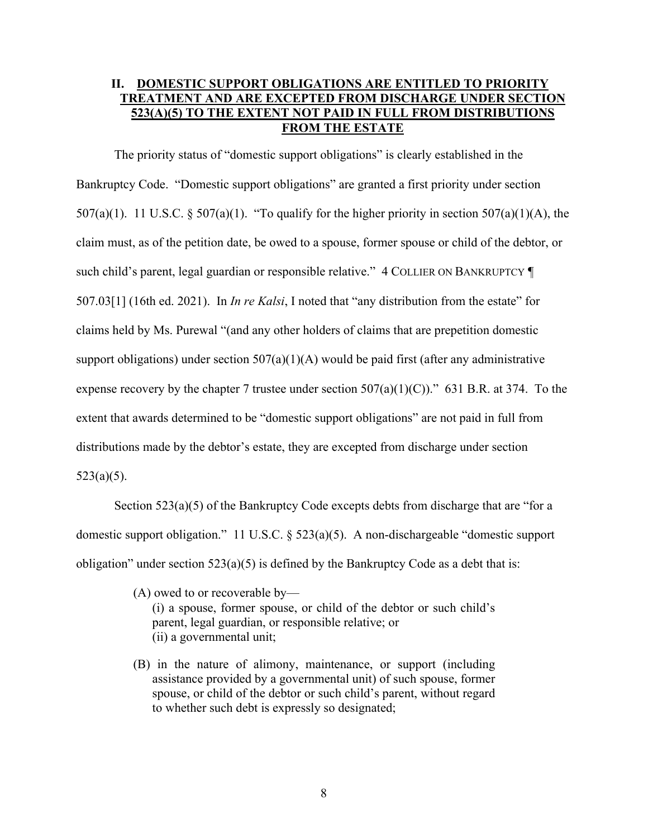# **II. DOMESTIC SUPPORT OBLIGATIONS ARE ENTITLED TO PRIORITY TREATMENT AND ARE EXCEPTED FROM DISCHARGE UNDER SECTION 523(A)(5) TO THE EXTENT NOT PAID IN FULL FROM DISTRIBUTIONS FROM THE ESTATE**

The priority status of "domestic support obligations" is clearly established in the Bankruptcy Code. "Domestic support obligations" are granted a first priority under section 507(a)(1). 11 U.S.C. § 507(a)(1). "To qualify for the higher priority in section 507(a)(1)(A), the claim must, as of the petition date, be owed to a spouse, former spouse or child of the debtor, or such child's parent, legal guardian or responsible relative." 4 COLLIER ON BANKRUPTCY  $\P$ 507.03[1] (16th ed. 2021). In *In re Kalsi*, I noted that "any distribution from the estate" for claims held by Ms. Purewal "(and any other holders of claims that are prepetition domestic support obligations) under section  $507(a)(1)(A)$  would be paid first (after any administrative expense recovery by the chapter 7 trustee under section  $507(a)(1)(C)$ ." 631 B.R. at 374. To the extent that awards determined to be "domestic support obligations" are not paid in full from distributions made by the debtor's estate, they are excepted from discharge under section  $523(a)(5)$ .

Section 523(a)(5) of the Bankruptcy Code excepts debts from discharge that are "for a domestic support obligation." 11 U.S.C. § 523(a)(5). A non-dischargeable "domestic support obligation" under section  $523(a)(5)$  is defined by the Bankruptcy Code as a debt that is:

- (A) owed to or recoverable by— (i) a spouse, former spouse, or child of the debtor or such child's parent, legal guardian, or responsible relative; or (ii) a governmental unit;
- (B) in the nature of alimony, maintenance, or support (including assistance provided by a governmental unit) of such spouse, former spouse, or child of the debtor or such child's parent, without regard to whether such debt is expressly so designated;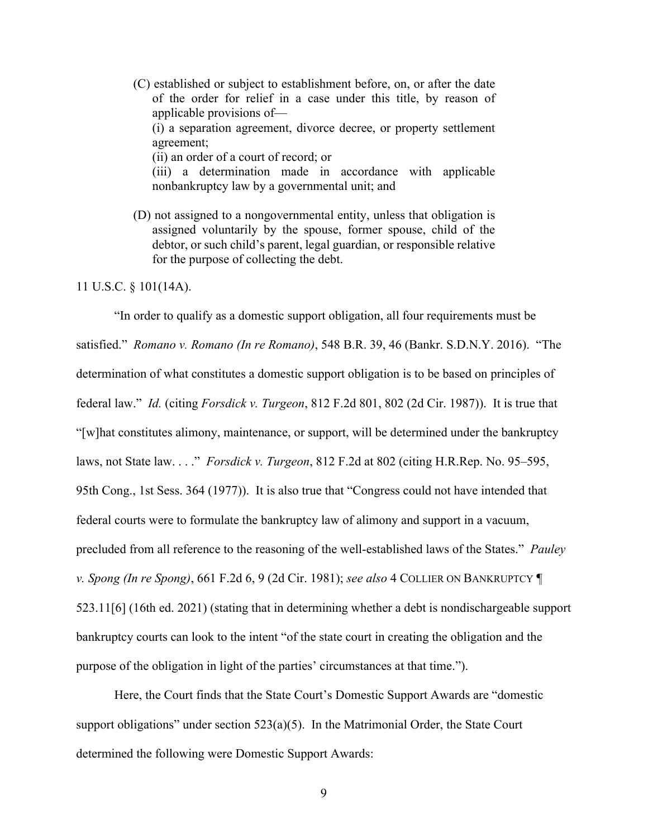- (C) established or subject to establishment before, on, or after the date of the order for relief in a case under this title, by reason of applicable provisions of— (i) a separation agreement, divorce decree, or property settlement agreement; (ii) an order of a court of record; or (iii) a determination made in accordance with applicable nonbankruptcy law by a governmental unit; and
- (D) not assigned to a nongovernmental entity, unless that obligation is assigned voluntarily by the spouse, former spouse, child of the debtor, or such child's parent, legal guardian, or responsible relative for the purpose of collecting the debt.

#### 11 U.S.C. § 101(14A).

"In order to qualify as a domestic support obligation, all four requirements must be satisfied." *Romano v. Romano (In re Romano)*, 548 B.R. 39, 46 (Bankr. S.D.N.Y. 2016). "The determination of what constitutes a domestic support obligation is to be based on principles of federal law." *Id.* (citing *Forsdick v. Turgeon*, 812 F.2d 801, 802 (2d Cir. 1987)). It is true that "[w]hat constitutes alimony, maintenance, or support, will be determined under the bankruptcy laws, not State law. . . ." *Forsdick v. Turgeon*, 812 F.2d at 802 (citing H.R.Rep. No. 95–595, 95th Cong., 1st Sess. 364 (1977)). It is also true that "Congress could not have intended that federal courts were to formulate the bankruptcy law of alimony and support in a vacuum, precluded from all reference to the reasoning of the well-established laws of the States." *Pauley v. Spong (In re Spong)*, 661 F.2d 6, 9 (2d Cir. 1981); *see also* 4 COLLIER ON BANKRUPTCY ¶ 523.11[6] (16th ed. 2021) (stating that in determining whether a debt is nondischargeable support bankruptcy courts can look to the intent "of the state court in creating the obligation and the purpose of the obligation in light of the parties' circumstances at that time.").

Here, the Court finds that the State Court's Domestic Support Awards are "domestic support obligations" under section  $523(a)(5)$ . In the Matrimonial Order, the State Court determined the following were Domestic Support Awards: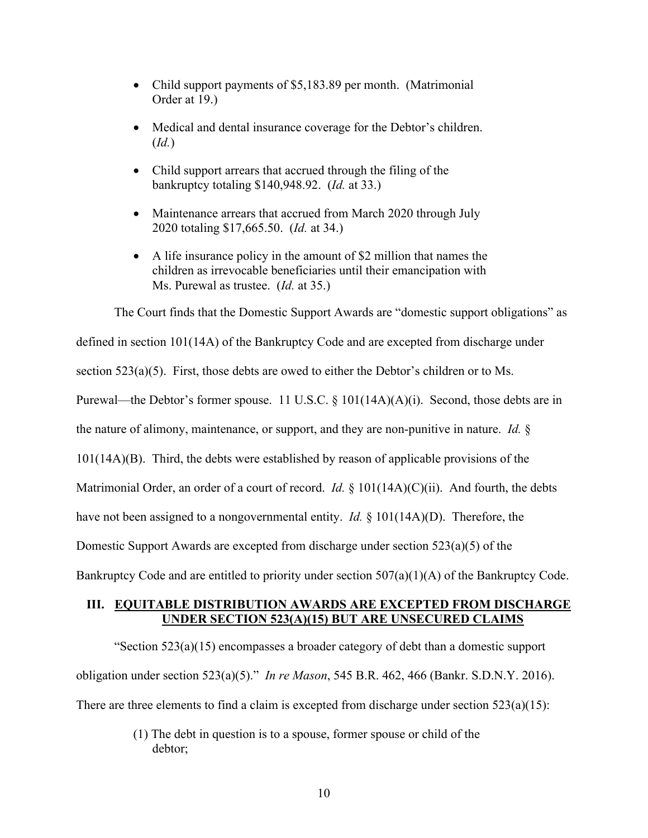- Child support payments of \$5,183.89 per month. (Matrimonial Order at 19.)
- Medical and dental insurance coverage for the Debtor's children. (*Id.*)
- Child support arrears that accrued through the filing of the bankruptcy totaling \$140,948.92. (*Id.* at 33.)
- Maintenance arrears that accrued from March 2020 through July 2020 totaling \$17,665.50. (*Id.* at 34.)
- A life insurance policy in the amount of \$2 million that names the children as irrevocable beneficiaries until their emancipation with Ms. Purewal as trustee. (*Id.* at 35.)

The Court finds that the Domestic Support Awards are "domestic support obligations" as defined in section 101(14A) of the Bankruptcy Code and are excepted from discharge under section 523(a)(5). First, those debts are owed to either the Debtor's children or to Ms. Purewal—the Debtor's former spouse. 11 U.S.C. § 101(14A)(A)(i). Second, those debts are in the nature of alimony, maintenance, or support, and they are non-punitive in nature. *Id.* § 101(14A)(B). Third, the debts were established by reason of applicable provisions of the Matrimonial Order, an order of a court of record. *Id.* § 101(14A)(C)(ii). And fourth, the debts have not been assigned to a nongovernmental entity. *Id.* § 101(14A)(D). Therefore, the Domestic Support Awards are excepted from discharge under section 523(a)(5) of the Bankruptcy Code and are entitled to priority under section 507(a)(1)(A) of the Bankruptcy Code.

### **III. EQUITABLE DISTRIBUTION AWARDS ARE EXCEPTED FROM DISCHARGE UNDER SECTION 523(A)(15) BUT ARE UNSECURED CLAIMS**

"Section  $523(a)(15)$  encompasses a broader category of debt than a domestic support obligation under section 523(a)(5)." *In re Mason*, 545 B.R. 462, 466 (Bankr. S.D.N.Y. 2016). There are three elements to find a claim is excepted from discharge under section  $523(a)(15)$ :

> (1) The debt in question is to a spouse, former spouse or child of the debtor;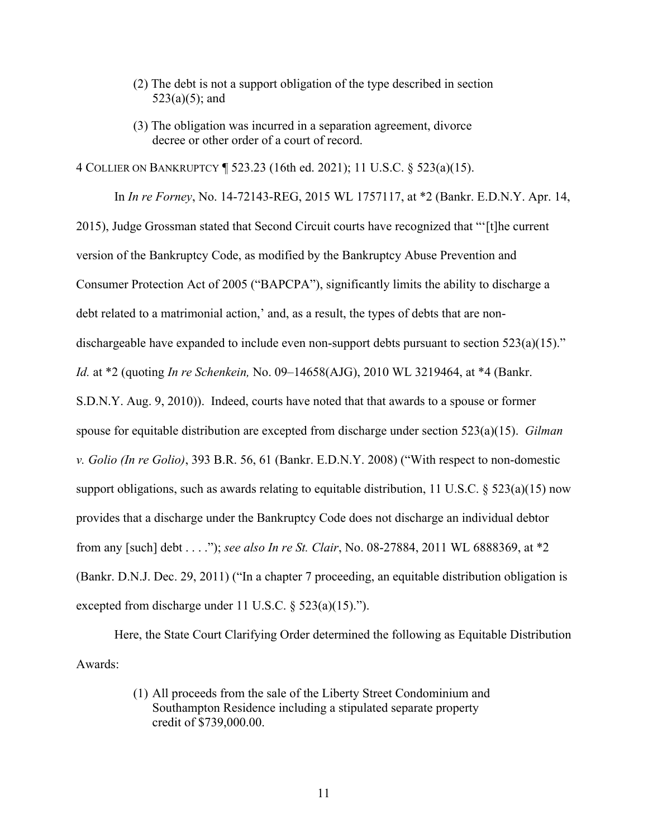- (2) The debt is not a support obligation of the type described in section  $523(a)(5)$ ; and
- (3) The obligation was incurred in a separation agreement, divorce decree or other order of a court of record.

4 COLLIER ON BANKRUPTCY ¶ 523.23 (16th ed. 2021); 11 U.S.C. § 523(a)(15).

In *In re Forney*, No. 14-72143-REG, 2015 WL 1757117, at \*2 (Bankr. E.D.N.Y. Apr. 14, 2015), Judge Grossman stated that Second Circuit courts have recognized that "'[t]he current version of the Bankruptcy Code, as modified by the Bankruptcy Abuse Prevention and Consumer Protection Act of 2005 ("BAPCPA"), significantly limits the ability to discharge a debt related to a matrimonial action,' and, as a result, the types of debts that are nondischargeable have expanded to include even non-support debts pursuant to section 523(a)(15)." *Id.* at \*2 (quoting *In re Schenkein,* No. 09–14658(AJG), 2010 WL 3219464, at \*4 (Bankr. S.D.N.Y. Aug. 9, 2010)). Indeed, courts have noted that that awards to a spouse or former spouse for equitable distribution are excepted from discharge under section 523(a)(15). *Gilman v. Golio (In re Golio)*, 393 B.R. 56, 61 (Bankr. E.D.N.Y. 2008) ("With respect to non-domestic support obligations, such as awards relating to equitable distribution, 11 U.S.C.  $\S$  523(a)(15) now provides that a discharge under the Bankruptcy Code does not discharge an individual debtor from any [such] debt . . . ."); *see also In re St. Clair*, No. 08-27884, 2011 WL 6888369, at \*2 (Bankr. D.N.J. Dec. 29, 2011) ("In a chapter 7 proceeding, an equitable distribution obligation is excepted from discharge under 11 U.S.C. § 523(a)(15).").

Here, the State Court Clarifying Order determined the following as Equitable Distribution Awards:

> (1) All proceeds from the sale of the Liberty Street Condominium and Southampton Residence including a stipulated separate property credit of \$739,000.00.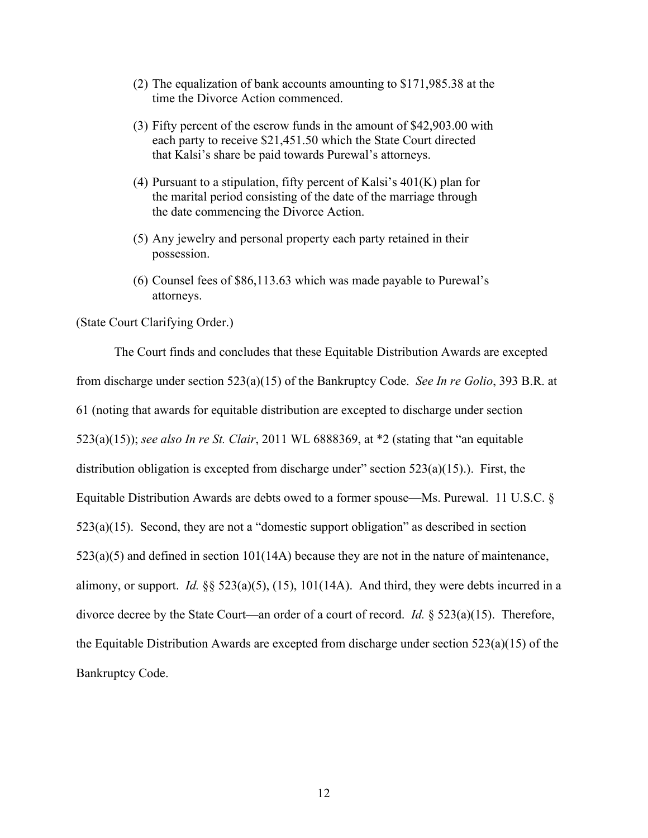- (2) The equalization of bank accounts amounting to \$171,985.38 at the time the Divorce Action commenced.
- (3) Fifty percent of the escrow funds in the amount of \$42,903.00 with each party to receive \$21,451.50 which the State Court directed that Kalsi's share be paid towards Purewal's attorneys.
- (4) Pursuant to a stipulation, fifty percent of Kalsi's  $401(K)$  plan for the marital period consisting of the date of the marriage through the date commencing the Divorce Action.
- (5) Any jewelry and personal property each party retained in their possession.
- (6) Counsel fees of \$86,113.63 which was made payable to Purewal's attorneys.

### (State Court Clarifying Order.)

The Court finds and concludes that these Equitable Distribution Awards are excepted from discharge under section 523(a)(15) of the Bankruptcy Code. *See In re Golio*, 393 B.R. at 61 (noting that awards for equitable distribution are excepted to discharge under section 523(a)(15)); *see also In re St. Clair*, 2011 WL 6888369, at \*2 (stating that "an equitable distribution obligation is excepted from discharge under" section 523(a)(15).). First, the Equitable Distribution Awards are debts owed to a former spouse—Ms. Purewal. 11 U.S.C. § 523(a)(15). Second, they are not a "domestic support obligation" as described in section  $523(a)(5)$  and defined in section  $101(14A)$  because they are not in the nature of maintenance, alimony, or support. *Id.* §§ 523(a)(5), (15), 101(14A). And third, they were debts incurred in a divorce decree by the State Court—an order of a court of record. *Id.* § 523(a)(15). Therefore, the Equitable Distribution Awards are excepted from discharge under section 523(a)(15) of the Bankruptcy Code.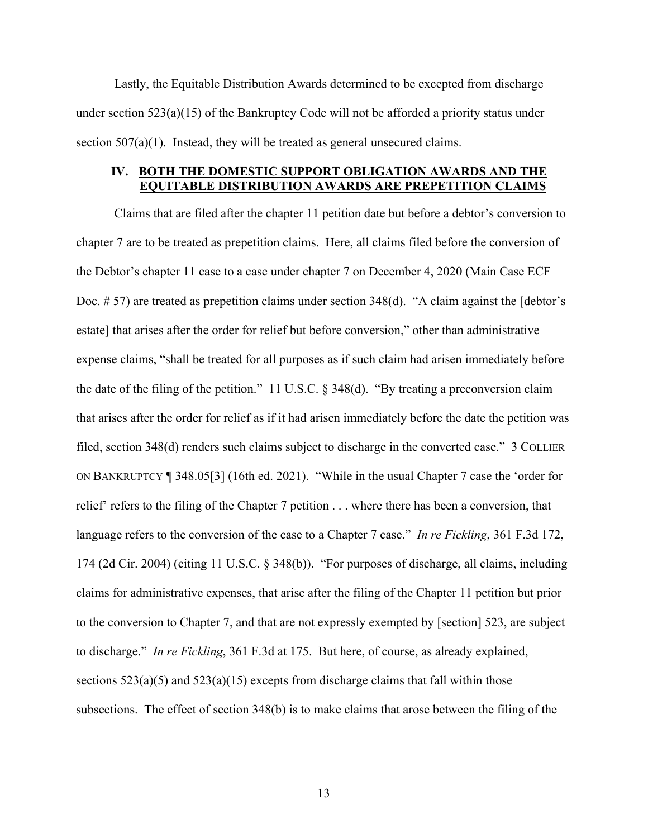Lastly, the Equitable Distribution Awards determined to be excepted from discharge under section  $523(a)(15)$  of the Bankruptcy Code will not be afforded a priority status under section 507(a)(1). Instead, they will be treated as general unsecured claims.

## **IV. BOTH THE DOMESTIC SUPPORT OBLIGATION AWARDS AND THE EQUITABLE DISTRIBUTION AWARDS ARE PREPETITION CLAIMS**

Claims that are filed after the chapter 11 petition date but before a debtor's conversion to chapter 7 are to be treated as prepetition claims. Here, all claims filed before the conversion of the Debtor's chapter 11 case to a case under chapter 7 on December 4, 2020 (Main Case ECF Doc. #57) are treated as prepetition claims under section 348(d). "A claim against the [debtor's estate] that arises after the order for relief but before conversion," other than administrative expense claims, "shall be treated for all purposes as if such claim had arisen immediately before the date of the filing of the petition." 11 U.S.C. § 348(d). "By treating a preconversion claim that arises after the order for relief as if it had arisen immediately before the date the petition was filed, section 348(d) renders such claims subject to discharge in the converted case." 3 COLLIER ON BANKRUPTCY ¶ 348.05[3] (16th ed. 2021). "While in the usual Chapter 7 case the 'order for relief' refers to the filing of the Chapter 7 petition . . . where there has been a conversion, that language refers to the conversion of the case to a Chapter 7 case." *In re Fickling*, 361 F.3d 172, 174 (2d Cir. 2004) (citing 11 U.S.C. § 348(b)). "For purposes of discharge, all claims, including claims for administrative expenses, that arise after the filing of the Chapter 11 petition but prior to the conversion to Chapter 7, and that are not expressly exempted by [section] 523, are subject to discharge." *In re Fickling*, 361 F.3d at 175. But here, of course, as already explained, sections  $523(a)(5)$  and  $523(a)(15)$  excepts from discharge claims that fall within those subsections. The effect of section 348(b) is to make claims that arose between the filing of the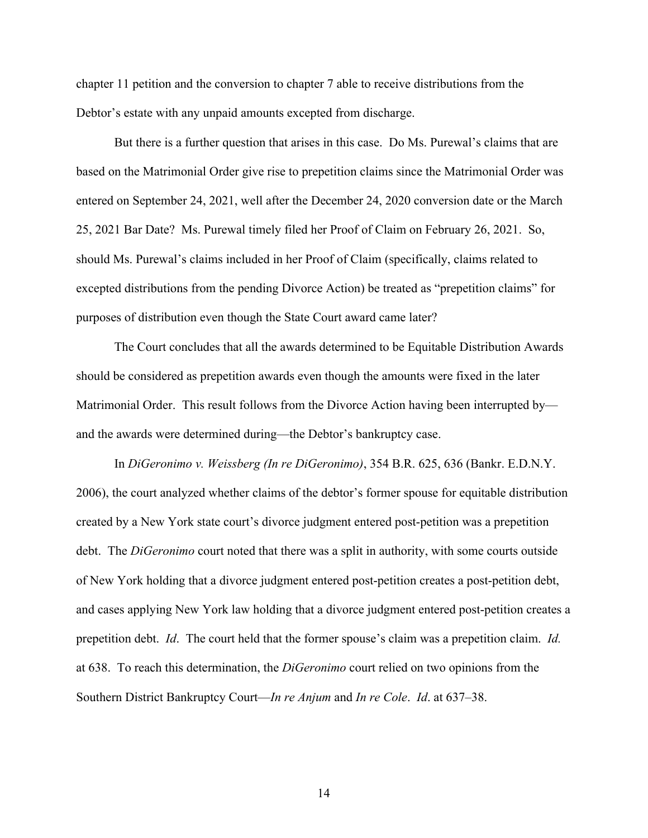chapter 11 petition and the conversion to chapter 7 able to receive distributions from the Debtor's estate with any unpaid amounts excepted from discharge.

But there is a further question that arises in this case. Do Ms. Purewal's claims that are based on the Matrimonial Order give rise to prepetition claims since the Matrimonial Order was entered on September 24, 2021, well after the December 24, 2020 conversion date or the March 25, 2021 Bar Date? Ms. Purewal timely filed her Proof of Claim on February 26, 2021. So, should Ms. Purewal's claims included in her Proof of Claim (specifically, claims related to excepted distributions from the pending Divorce Action) be treated as "prepetition claims" for purposes of distribution even though the State Court award came later?

The Court concludes that all the awards determined to be Equitable Distribution Awards should be considered as prepetition awards even though the amounts were fixed in the later Matrimonial Order. This result follows from the Divorce Action having been interrupted by and the awards were determined during—the Debtor's bankruptcy case.

In *DiGeronimo v. Weissberg (In re DiGeronimo)*, 354 B.R. 625, 636 (Bankr. E.D.N.Y. 2006), the court analyzed whether claims of the debtor's former spouse for equitable distribution created by a New York state court's divorce judgment entered post-petition was a prepetition debt. The *DiGeronimo* court noted that there was a split in authority, with some courts outside of New York holding that a divorce judgment entered post-petition creates a post-petition debt, and cases applying New York law holding that a divorce judgment entered post-petition creates a prepetition debt. *Id*. The court held that the former spouse's claim was a prepetition claim. *Id.* at 638. To reach this determination, the *DiGeronimo* court relied on two opinions from the Southern District Bankruptcy Court—*In re Anjum* and *In re Cole*. *Id*. at 637–38.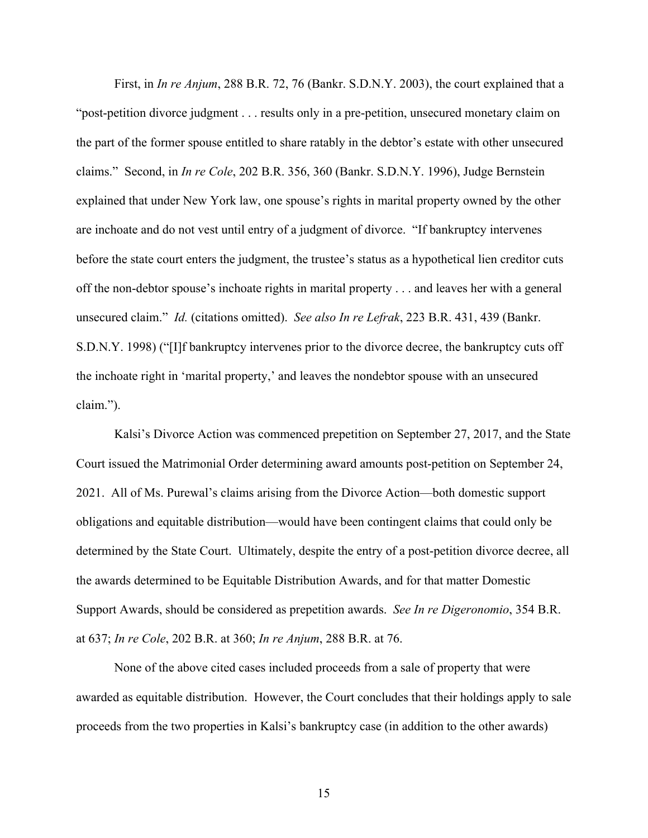First, in *In re Anjum*, 288 B.R. 72, 76 (Bankr. S.D.N.Y. 2003), the court explained that a "post-petition divorce judgment . . . results only in a pre-petition, unsecured monetary claim on the part of the former spouse entitled to share ratably in the debtor's estate with other unsecured claims." Second, in *In re Cole*, 202 B.R. 356, 360 (Bankr. S.D.N.Y. 1996), Judge Bernstein explained that under New York law, one spouse's rights in marital property owned by the other are inchoate and do not vest until entry of a judgment of divorce. "If bankruptcy intervenes before the state court enters the judgment, the trustee's status as a hypothetical lien creditor cuts off the non-debtor spouse's inchoate rights in marital property . . . and leaves her with a general unsecured claim." *Id.* (citations omitted). *See also In re Lefrak*, 223 B.R. 431, 439 (Bankr. S.D.N.Y. 1998) ("[I]f bankruptcy intervenes prior to the divorce decree, the bankruptcy cuts off the inchoate right in 'marital property,' and leaves the nondebtor spouse with an unsecured claim.").

Kalsi's Divorce Action was commenced prepetition on September 27, 2017, and the State Court issued the Matrimonial Order determining award amounts post-petition on September 24, 2021. All of Ms. Purewal's claims arising from the Divorce Action—both domestic support obligations and equitable distribution—would have been contingent claims that could only be determined by the State Court. Ultimately, despite the entry of a post-petition divorce decree, all the awards determined to be Equitable Distribution Awards, and for that matter Domestic Support Awards, should be considered as prepetition awards. *See In re Digeronomio*, 354 B.R. at 637; *In re Cole*, 202 B.R. at 360; *In re Anjum*, 288 B.R. at 76.

None of the above cited cases included proceeds from a sale of property that were awarded as equitable distribution. However, the Court concludes that their holdings apply to sale proceeds from the two properties in Kalsi's bankruptcy case (in addition to the other awards)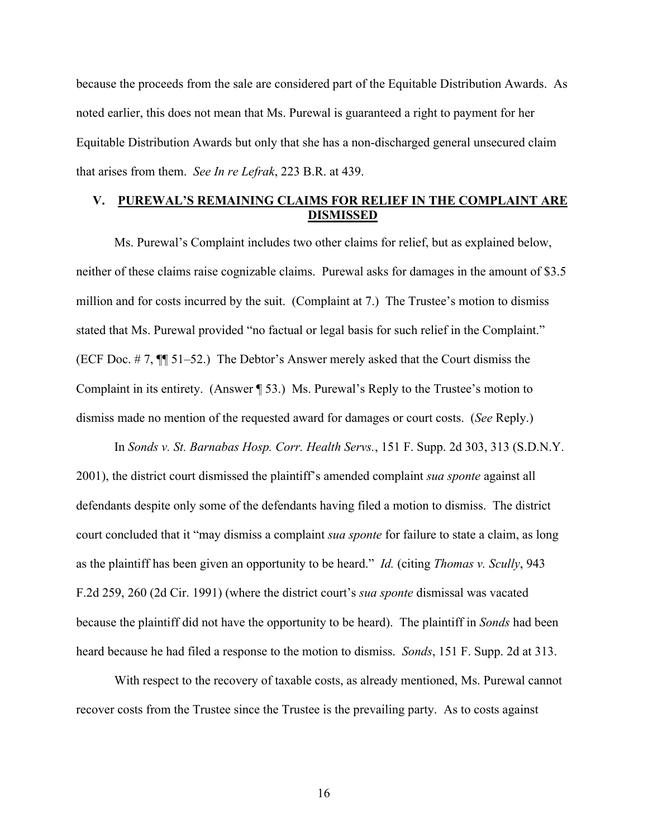because the proceeds from the sale are considered part of the Equitable Distribution Awards. As noted earlier, this does not mean that Ms. Purewal is guaranteed a right to payment for her Equitable Distribution Awards but only that she has a non-discharged general unsecured claim that arises from them. *See In re Lefrak*, 223 B.R. at 439.

# **V. PUREWAL'S REMAINING CLAIMS FOR RELIEF IN THE COMPLAINT ARE DISMISSED**

Ms. Purewal's Complaint includes two other claims for relief, but as explained below, neither of these claims raise cognizable claims. Purewal asks for damages in the amount of \$3.5 million and for costs incurred by the suit. (Complaint at 7.) The Trustee's motion to dismiss stated that Ms. Purewal provided "no factual or legal basis for such relief in the Complaint." (ECF Doc. # 7, ¶¶ 51–52.) The Debtor's Answer merely asked that the Court dismiss the Complaint in its entirety. (Answer ¶ 53.) Ms. Purewal's Reply to the Trustee's motion to dismiss made no mention of the requested award for damages or court costs. (*See* Reply.)

In *Sonds v. St. Barnabas Hosp. Corr. Health Servs.*, 151 F. Supp. 2d 303, 313 (S.D.N.Y. 2001), the district court dismissed the plaintiff's amended complaint *sua sponte* against all defendants despite only some of the defendants having filed a motion to dismiss. The district court concluded that it "may dismiss a complaint *sua sponte* for failure to state a claim, as long as the plaintiff has been given an opportunity to be heard." *Id.* (citing *Thomas v. Scully*, 943 F.2d 259, 260 (2d Cir. 1991) (where the district court's *sua sponte* dismissal was vacated because the plaintiff did not have the opportunity to be heard). The plaintiff in *Sonds* had been heard because he had filed a response to the motion to dismiss. *Sonds*, 151 F. Supp. 2d at 313.

With respect to the recovery of taxable costs, as already mentioned, Ms. Purewal cannot recover costs from the Trustee since the Trustee is the prevailing party. As to costs against